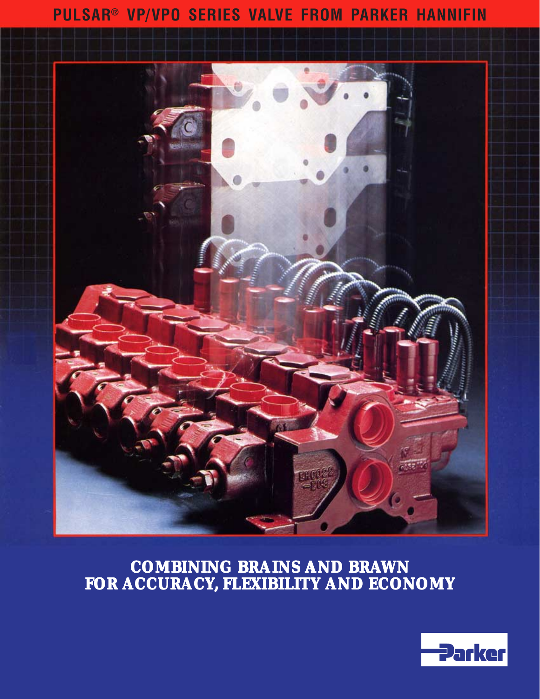# **PULSAR® VP/VPO SERIES VALVE FROM PARKER HANNIFIN**



# **COMBINING BRAINS AND BRAWN FOR ACCURACY, FLEXIBILITY AND ECONOMY**

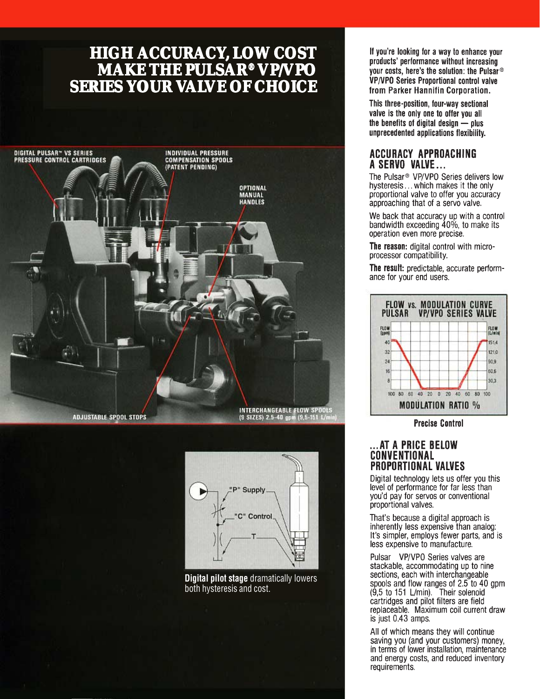# **HIGH ACCURACY, LOW COST<br>MAKE THE PULSAR® VP/VPO<br>SERIES YOUR VALVE OF CHOICE**





**Digital pilot stage dramatically lowers** both hysteresis and cost.

If you're looking for a way to enhance your products' performance without increasing your costs, here's the solution: the Pulsar  $\circledcirc$ VP/VPO Series Proportional control valve from Parker Hannifin Corporation.

This three-position, four-way sectional valve is the only one to offer you all the benefits of digital design  $\frac{1}{x}$  plus unprecedented applications flexibility.

#### ACCURACY APPROACHING A SERVO VALVE...

The Pulsar<sup>®</sup> VP/VPO Series delivers low hysteresis... which makes it the only proportional valve to offer you accuracy approaching that of a servo valve.

We back that accuracy up with a control<br>bandwidth exceeding 40%, to make its operation even more precise.

The reason: digital control with microprocessor compatibility.

The result: predictable, accurate performance for your end users.



**Precise Control** 

#### ... AT A PRICE BELOW **CONVENTIONAL PROPORTIONAL VALVES**

Digital technology lets us offer you this level of performance for far less than you'd pay for servos or conventional proportional valves.

That's because a digital approach is inherently less expensive than analog: It's simpler, employs fewer parts, and is less expensive to manufacture.

Pulsar VP/VPO Series valves are stackable, accommodating up to nine sections, each with interchangeable sections, each with interchangeable<br>spools and flow ranges of 2.5 to 40 gpm<br>(9,5 to 151 L/min). Their solenoid<br>cartridges and pilot filters are field replaceable. Maximum coil current draw is just 0.43 amps.

All of which means they will continue saving you (and your customers) money, in terms of lower installation, maintenance and energy costs, and reduced inventory requirements.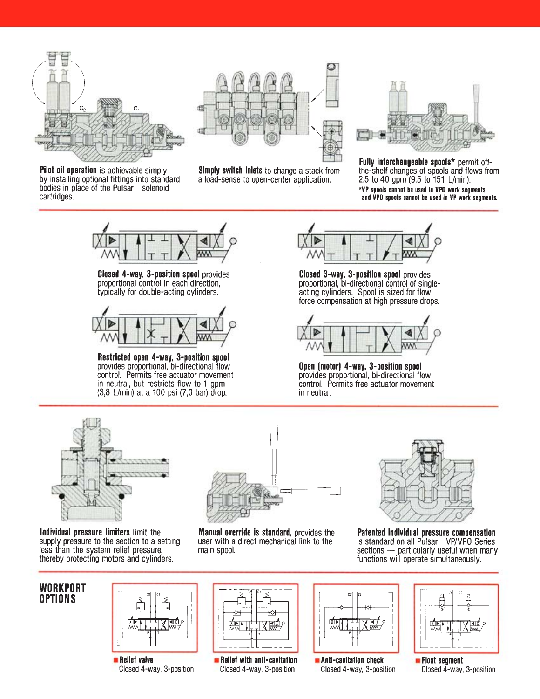

Pilot oil operation is achievable simply by installing optional fittings into standard bodies in place of the Pulsar solenoid cartridges.



Simply switch inlets to change a stack from a load-sense to open-center application.



Fully interchangeable spools\* permit offthe-shelf changes of spools and flows from 2.5 to 40 gpm (9,5 to 151 L/min). \*VP spools cannot be used in VPO work segments and VPO spools cannot be used in VP work segments.



Closed 4-way, 3-position spool provides proportional control in each direction, typically for double-acting cylinders.



Restricted open 4-way, 3-position spool<br>provides proportional, bi-directional flow control. Permits free actuator movement in neutral, but restricts flow to 1 gpm (3,8 L/min) at a 100 psi (7,0 bar) drop.



Closed 3-way, 3-position spool provides proportional, bi-directional control of singleacting cylinders. Spool is sized for flow force compensation at high pressure drops.



Open (motor) 4-way, 3-position spool provides proportional, bi-directional flow control. Permits free actuator movement in neutral.



Individual pressure limiters limit the supply pressure to the section to a setting less than the system relief pressure, thereby protecting motors and cylinders.



**Manual override is standard, provides the** user with a direct mechanical link to the main spool.



Patented individual pressure compensation<br>is standard on all Pulsar VP/VPO Series sections - particularly useful when many functions will operate simultaneously.

## **WORKPORT OPTIONS**



**Relief valve** Closed 4-way, 3-position



Relief with anti-cavitation Closed 4-way, 3-position



Anti-cavitation check Closed 4-way, 3-position



**Eloat segment** Closed 4-way, 3-position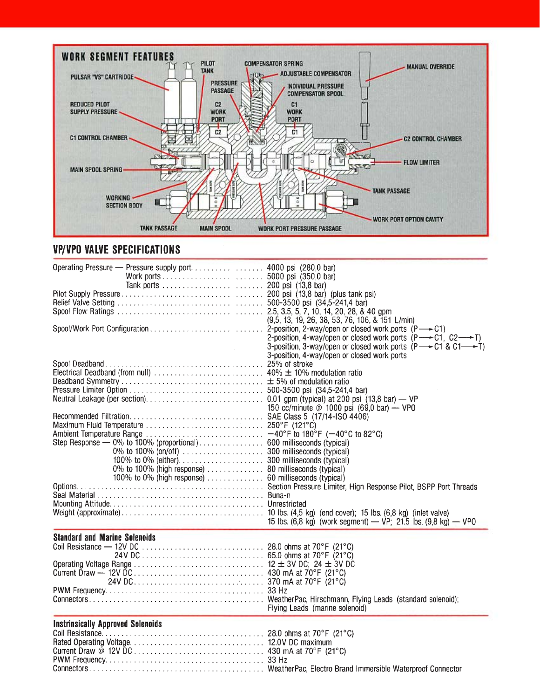

## **VP/VPO VALVE SPECIFICATIONS**

| Operating Pressure - Pressure supply port 4000 psi (280,0 bar)<br>$\sim 10^{-1}$ | $(9,5, 13, 19, 26, 38, 53, 76, 106, 8, 151$ L/min)<br>2-position, 4-way/open or closed work ports $(P \rightarrow C1, C2 \rightarrow T)$<br>3-position, 3-way/open or closed work ports $(P \rightarrow C1 \& C1 \rightarrow T)$<br>3-position, 4-way/open or closed work ports |
|----------------------------------------------------------------------------------|---------------------------------------------------------------------------------------------------------------------------------------------------------------------------------------------------------------------------------------------------------------------------------|
|                                                                                  | 150 cc/minute @ 1000 psi (69,0 bar) — VP0                                                                                                                                                                                                                                       |
| 100% to 0% (high response) 60 milliseconds (typical)                             |                                                                                                                                                                                                                                                                                 |
|                                                                                  | 15 lbs. $(6,8 \text{ kg})$ (work segment) — VP; 21.5 lbs. $(9,8 \text{ kg})$ — VPO                                                                                                                                                                                              |
| <b>Standard and Marine Solenoids</b>                                             | Flying Leads (marine solenoid)                                                                                                                                                                                                                                                  |
| <b>Instrinsically Approved Solenoids</b>                                         |                                                                                                                                                                                                                                                                                 |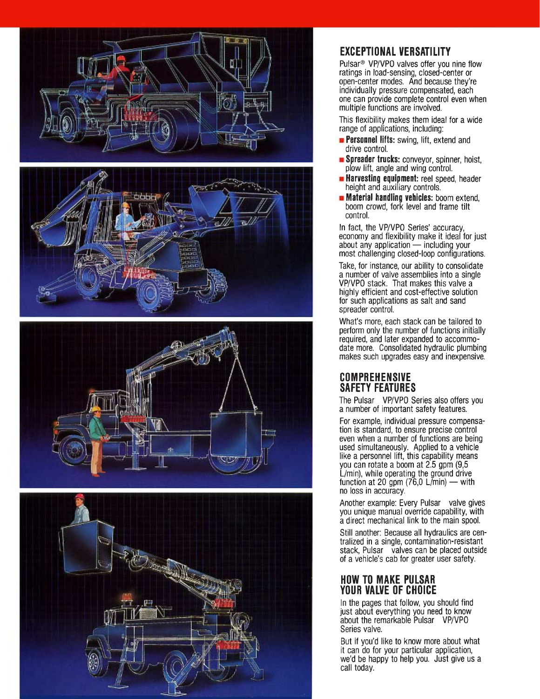





# **EXCEPTIONAL VERSATILITY**

Pulsar<sup>®</sup> VP/VPO valves offer you nine flow ratings in load-sensing, closed-center or open-center modes. And because they're individually pressure compensated, each one can provide complete control even when multiple functions are involved.

This flexibility makes them ideal for a wide range of applications, including:

- **Personnel lifts:** swing, lift, extend and drive control.
- Spreader trucks: conveyor, spinner, hoist, plow lift, angle and wing control.
- **Harvesting equipment:** reel speed, header height and auxiliary controls.
- $\blacksquare$  Material handling vehicles: boom extend. boom crowd, fork level and frame tilt control.

In fact, the VP/VPO Series' accuracy,<br>economy and flexibility make it ideal for just about any application  $-$  including your most challenging closed-loop configurations.

Take, for instance, our ability to consolidate a number of valve assemblies into a single VP/VPO stack. That makes this valve a highly efficient and cost-effective solution for such applications as salt and sand spreader control.

What's more, each stack can be tailored to perform only the number of functions initially required, and later expanded to accommodate more. Consolidated hydraulic plumbing makes such upgrades easy and inexpensive.

## **COMPREHENSIVE SAFETY FEATURES**

The Pulsar VP/VPO Series also offers you a number of important safety features.

For example, individual pressure compensation is standard, to ensure precise control even when a number of functions are being used simultaneously. Applied to a vehicle<br>like a personnel lift, this capability means you can rotate a boom at 2.5 gpm (9,5 L/min), while operating the ground drive function at 20 gpm  $(76.0 \text{ L/min})$  — with no loss in accuracy.

Another example: Every Pulsar valve gives you unique manual override capability, with a direct mechanical link to the main spool.

Still another: Because all hydraulics are centralized in a single, contamination-resistant stack, Pulsar valves can be placed outside of a vehicle's cab for greater user safety.

### **HOW TO MAKE PULSAR YOUR VALVE OF CHOICE**

In the pages that follow, you should find just about everything you need to know<br>about the remarkable Pulsar VP/VPO Series valve.

But if you'd like to know more about what it can do for your particular application, we'd be happy to help you. Just give us a call today.